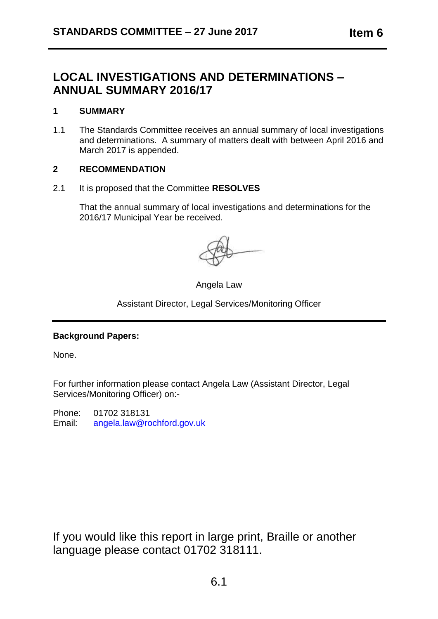# **LOCAL INVESTIGATIONS AND DETERMINATIONS – ANNUAL SUMMARY 2016/17**

### **1 SUMMARY**

1.1 The Standards Committee receives an annual summary of local investigations and determinations. A summary of matters dealt with between April 2016 and March 2017 is appended.

#### **2 RECOMMENDATION**

2.1 It is proposed that the Committee **RESOLVES**

That the annual summary of local investigations and determinations for the 2016/17 Municipal Year be received.

Angela Law

Assistant Director, Legal Services/Monitoring Officer

## **Background Papers:**

None.

For further information please contact Angela Law (Assistant Director, Legal Services/Monitoring Officer) on:-

Phone: 01702 318131 Email: [angela.law@rochford.gov.uk](mailto:angela.law@rochford.gov.uk)

If you would like this report in large print, Braille or another language please contact 01702 318111.